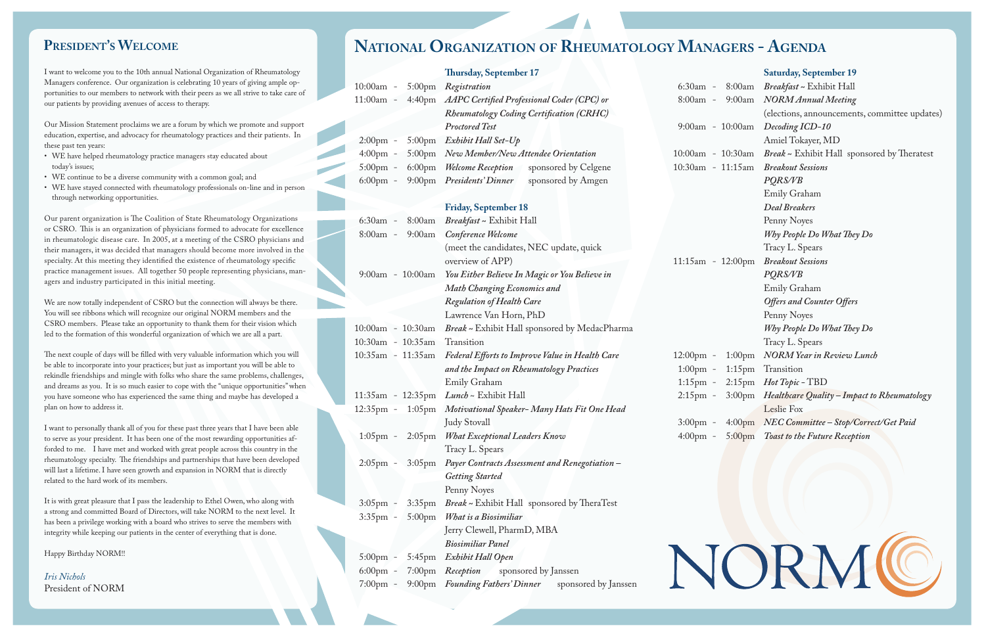- WE have helped rheumatology practice managers stay educated about today's issues;
- WE continue to be a diverse community with a common goal; and
- • WE have stayed connected with rheumatology professionals on-line and in person through networking opportunities.

I want to welcome you to the 10th annual National Organization of Rheumatology Managers conference. Our organization is celebrating 10 years of giving ample opportunities to our members to network with their peers as we all strive to take care of our patients by providing avenues of access to therapy.

Our Mission Statement proclaims we are a forum by which we promote and support education, expertise, and advocacy for rheumatology practices and their patients. In these past ten years:

| ur organization is celebrating 10 years of giving ample op-<br>10:00am -<br>5:00pm Registration<br>$6:30am -$<br>rs to network with their peers as we all strive to take care of<br>4:40pm AAPC Certified Professional Coder (CPC) or<br>11:00am -<br>8:00am -<br>avenues of access to therapy.<br><b>Rheumatology Coding Certification (CRHC)</b><br>roclaims we are a forum by which we promote and support<br><b>Proctored Test</b><br>dvocacy for rheumatology practices and their patients. In<br>Exhibit Hall Set-Up<br>$5:00 \text{pm}$<br>$2:00 \text{pm}$ -<br>5:00pm New Member/New Attendee Orientation<br>$4:00 \text{pm}$ -<br>atology practice managers stay educated about<br>sponsored by Celgene<br>$6:00 \text{pm}$<br><b>Welcome Reception</b><br>$5:00 \text{pm}$ -<br>verse community with a common goal; and<br>$6:00 \text{pm}$ -<br>9:00pm Presidents' Dinner<br>sponsored by Amgen<br>eted with rheumatology professionals on-line and in person<br>portunities.<br><b>Friday, September 18</b><br>is The Coalition of State Rheumatology Organizations<br>Breakfast ~ Exhibit Hall<br>8:00am<br>6:30am -<br>anization of physicians formed to advocate for excellence<br>9:00am Conference Welcome<br>8:00am -<br>care. In 2005, at a meeting of the CSRO physicians and<br>(meet the candidates, NEC update, quick<br>cided that managers should become more involved in the<br>they identified the existence of rheumatology specific<br>overview of APP)<br>ues. All together 50 people representing physicians, man-<br>9:00am - 10:00am You Either Believe In Magic or You Believe in<br>ipated in this initial meeting.<br><b>Math Changing Economics and</b><br><b>Regulation of Health Care</b><br>endent of CSRO but the connection will always be there.<br>n will recognize our original NORM members and the<br>Lawrence Van Horn, PhD<br>ake an opportunity to thank them for their vision which<br>Break ~ Exhibit Hall sponsored by MedacPharma<br>10:00am - 10:30am<br>is wonderful organization of which we are all a part.<br>10:30am - 10:35am<br>Transition<br>ill be filled with very valuable information which you will<br>10:35am - 11:35am Federal Efforts to Improve Value in Health Care<br>$12:00 \text{pm}$ -<br>your practices; but just as important you will be able to<br>and the Impact on Rheumatology Practices<br>$1:00 \text{pm}$ -<br>ningle with folks who share the same problems, challenges,<br>Emily Graham<br>$1:15 \text{pm} -$<br>o much easier to cope with the "unique opportunities" when<br>Lunch ~ Exhibit Hall<br>11:35am - 12:35pm<br>$2:15 \text{pm}$ -<br>is experienced the same thing and maybe has developed a<br>1:05pm Motivational Speaker-Many Hats Fit One Head<br>$12:35 \text{pm} -$<br><b>Judy Stovall</b><br>$3:00 \text{pm} -$<br>all of you for these past three years that I have been able<br>1:05pm - 2:05pm What Exceptional Leaders Know<br>It has been one of the most rewarding opportunities af-<br>t and worked with great people across this country in the<br>Tracy L. Spears | 8:00am<br>9:00am<br>9:00am - 10:00am<br>$10:00$ am - $10:30$ am<br>10:30am - 11:15am<br>$11:15am - 12:00pm$<br>$1:00 \text{pm}$ | <b>Bree</b><br>N <sub>O</sub><br>(elec<br>Dec<br>Ami<br><b>Brec</b><br><b>Bree</b><br>PQI<br>Emi<br>Dea<br>Pen<br>Wb <sub>1</sub><br>Trac<br><b>Brec</b><br>PQI<br>Emi<br>$O$ ffe<br>Pen<br>Wb <sub>1</sub> |
|------------------------------------------------------------------------------------------------------------------------------------------------------------------------------------------------------------------------------------------------------------------------------------------------------------------------------------------------------------------------------------------------------------------------------------------------------------------------------------------------------------------------------------------------------------------------------------------------------------------------------------------------------------------------------------------------------------------------------------------------------------------------------------------------------------------------------------------------------------------------------------------------------------------------------------------------------------------------------------------------------------------------------------------------------------------------------------------------------------------------------------------------------------------------------------------------------------------------------------------------------------------------------------------------------------------------------------------------------------------------------------------------------------------------------------------------------------------------------------------------------------------------------------------------------------------------------------------------------------------------------------------------------------------------------------------------------------------------------------------------------------------------------------------------------------------------------------------------------------------------------------------------------------------------------------------------------------------------------------------------------------------------------------------------------------------------------------------------------------------------------------------------------------------------------------------------------------------------------------------------------------------------------------------------------------------------------------------------------------------------------------------------------------------------------------------------------------------------------------------------------------------------------------------------------------------------------------------------------------------------------------------------------------------------------------------------------------------------------------------------------------------------------------------------------------------------------------------------------------------------------------------------------------------------------------------------------------------------------------------------------------------------------------------------------------------------------------------|---------------------------------------------------------------------------------------------------------------------------------|-------------------------------------------------------------------------------------------------------------------------------------------------------------------------------------------------------------|
|                                                                                                                                                                                                                                                                                                                                                                                                                                                                                                                                                                                                                                                                                                                                                                                                                                                                                                                                                                                                                                                                                                                                                                                                                                                                                                                                                                                                                                                                                                                                                                                                                                                                                                                                                                                                                                                                                                                                                                                                                                                                                                                                                                                                                                                                                                                                                                                                                                                                                                                                                                                                                                                                                                                                                                                                                                                                                                                                                                                                                                                                                          |                                                                                                                                 |                                                                                                                                                                                                             |
|                                                                                                                                                                                                                                                                                                                                                                                                                                                                                                                                                                                                                                                                                                                                                                                                                                                                                                                                                                                                                                                                                                                                                                                                                                                                                                                                                                                                                                                                                                                                                                                                                                                                                                                                                                                                                                                                                                                                                                                                                                                                                                                                                                                                                                                                                                                                                                                                                                                                                                                                                                                                                                                                                                                                                                                                                                                                                                                                                                                                                                                                                          |                                                                                                                                 |                                                                                                                                                                                                             |
|                                                                                                                                                                                                                                                                                                                                                                                                                                                                                                                                                                                                                                                                                                                                                                                                                                                                                                                                                                                                                                                                                                                                                                                                                                                                                                                                                                                                                                                                                                                                                                                                                                                                                                                                                                                                                                                                                                                                                                                                                                                                                                                                                                                                                                                                                                                                                                                                                                                                                                                                                                                                                                                                                                                                                                                                                                                                                                                                                                                                                                                                                          |                                                                                                                                 |                                                                                                                                                                                                             |
|                                                                                                                                                                                                                                                                                                                                                                                                                                                                                                                                                                                                                                                                                                                                                                                                                                                                                                                                                                                                                                                                                                                                                                                                                                                                                                                                                                                                                                                                                                                                                                                                                                                                                                                                                                                                                                                                                                                                                                                                                                                                                                                                                                                                                                                                                                                                                                                                                                                                                                                                                                                                                                                                                                                                                                                                                                                                                                                                                                                                                                                                                          |                                                                                                                                 |                                                                                                                                                                                                             |
|                                                                                                                                                                                                                                                                                                                                                                                                                                                                                                                                                                                                                                                                                                                                                                                                                                                                                                                                                                                                                                                                                                                                                                                                                                                                                                                                                                                                                                                                                                                                                                                                                                                                                                                                                                                                                                                                                                                                                                                                                                                                                                                                                                                                                                                                                                                                                                                                                                                                                                                                                                                                                                                                                                                                                                                                                                                                                                                                                                                                                                                                                          |                                                                                                                                 |                                                                                                                                                                                                             |
|                                                                                                                                                                                                                                                                                                                                                                                                                                                                                                                                                                                                                                                                                                                                                                                                                                                                                                                                                                                                                                                                                                                                                                                                                                                                                                                                                                                                                                                                                                                                                                                                                                                                                                                                                                                                                                                                                                                                                                                                                                                                                                                                                                                                                                                                                                                                                                                                                                                                                                                                                                                                                                                                                                                                                                                                                                                                                                                                                                                                                                                                                          |                                                                                                                                 |                                                                                                                                                                                                             |
|                                                                                                                                                                                                                                                                                                                                                                                                                                                                                                                                                                                                                                                                                                                                                                                                                                                                                                                                                                                                                                                                                                                                                                                                                                                                                                                                                                                                                                                                                                                                                                                                                                                                                                                                                                                                                                                                                                                                                                                                                                                                                                                                                                                                                                                                                                                                                                                                                                                                                                                                                                                                                                                                                                                                                                                                                                                                                                                                                                                                                                                                                          |                                                                                                                                 |                                                                                                                                                                                                             |
|                                                                                                                                                                                                                                                                                                                                                                                                                                                                                                                                                                                                                                                                                                                                                                                                                                                                                                                                                                                                                                                                                                                                                                                                                                                                                                                                                                                                                                                                                                                                                                                                                                                                                                                                                                                                                                                                                                                                                                                                                                                                                                                                                                                                                                                                                                                                                                                                                                                                                                                                                                                                                                                                                                                                                                                                                                                                                                                                                                                                                                                                                          |                                                                                                                                 |                                                                                                                                                                                                             |
|                                                                                                                                                                                                                                                                                                                                                                                                                                                                                                                                                                                                                                                                                                                                                                                                                                                                                                                                                                                                                                                                                                                                                                                                                                                                                                                                                                                                                                                                                                                                                                                                                                                                                                                                                                                                                                                                                                                                                                                                                                                                                                                                                                                                                                                                                                                                                                                                                                                                                                                                                                                                                                                                                                                                                                                                                                                                                                                                                                                                                                                                                          |                                                                                                                                 |                                                                                                                                                                                                             |
|                                                                                                                                                                                                                                                                                                                                                                                                                                                                                                                                                                                                                                                                                                                                                                                                                                                                                                                                                                                                                                                                                                                                                                                                                                                                                                                                                                                                                                                                                                                                                                                                                                                                                                                                                                                                                                                                                                                                                                                                                                                                                                                                                                                                                                                                                                                                                                                                                                                                                                                                                                                                                                                                                                                                                                                                                                                                                                                                                                                                                                                                                          |                                                                                                                                 |                                                                                                                                                                                                             |
|                                                                                                                                                                                                                                                                                                                                                                                                                                                                                                                                                                                                                                                                                                                                                                                                                                                                                                                                                                                                                                                                                                                                                                                                                                                                                                                                                                                                                                                                                                                                                                                                                                                                                                                                                                                                                                                                                                                                                                                                                                                                                                                                                                                                                                                                                                                                                                                                                                                                                                                                                                                                                                                                                                                                                                                                                                                                                                                                                                                                                                                                                          |                                                                                                                                 |                                                                                                                                                                                                             |
|                                                                                                                                                                                                                                                                                                                                                                                                                                                                                                                                                                                                                                                                                                                                                                                                                                                                                                                                                                                                                                                                                                                                                                                                                                                                                                                                                                                                                                                                                                                                                                                                                                                                                                                                                                                                                                                                                                                                                                                                                                                                                                                                                                                                                                                                                                                                                                                                                                                                                                                                                                                                                                                                                                                                                                                                                                                                                                                                                                                                                                                                                          |                                                                                                                                 |                                                                                                                                                                                                             |
|                                                                                                                                                                                                                                                                                                                                                                                                                                                                                                                                                                                                                                                                                                                                                                                                                                                                                                                                                                                                                                                                                                                                                                                                                                                                                                                                                                                                                                                                                                                                                                                                                                                                                                                                                                                                                                                                                                                                                                                                                                                                                                                                                                                                                                                                                                                                                                                                                                                                                                                                                                                                                                                                                                                                                                                                                                                                                                                                                                                                                                                                                          |                                                                                                                                 |                                                                                                                                                                                                             |
|                                                                                                                                                                                                                                                                                                                                                                                                                                                                                                                                                                                                                                                                                                                                                                                                                                                                                                                                                                                                                                                                                                                                                                                                                                                                                                                                                                                                                                                                                                                                                                                                                                                                                                                                                                                                                                                                                                                                                                                                                                                                                                                                                                                                                                                                                                                                                                                                                                                                                                                                                                                                                                                                                                                                                                                                                                                                                                                                                                                                                                                                                          |                                                                                                                                 |                                                                                                                                                                                                             |
|                                                                                                                                                                                                                                                                                                                                                                                                                                                                                                                                                                                                                                                                                                                                                                                                                                                                                                                                                                                                                                                                                                                                                                                                                                                                                                                                                                                                                                                                                                                                                                                                                                                                                                                                                                                                                                                                                                                                                                                                                                                                                                                                                                                                                                                                                                                                                                                                                                                                                                                                                                                                                                                                                                                                                                                                                                                                                                                                                                                                                                                                                          |                                                                                                                                 |                                                                                                                                                                                                             |
|                                                                                                                                                                                                                                                                                                                                                                                                                                                                                                                                                                                                                                                                                                                                                                                                                                                                                                                                                                                                                                                                                                                                                                                                                                                                                                                                                                                                                                                                                                                                                                                                                                                                                                                                                                                                                                                                                                                                                                                                                                                                                                                                                                                                                                                                                                                                                                                                                                                                                                                                                                                                                                                                                                                                                                                                                                                                                                                                                                                                                                                                                          |                                                                                                                                 |                                                                                                                                                                                                             |
|                                                                                                                                                                                                                                                                                                                                                                                                                                                                                                                                                                                                                                                                                                                                                                                                                                                                                                                                                                                                                                                                                                                                                                                                                                                                                                                                                                                                                                                                                                                                                                                                                                                                                                                                                                                                                                                                                                                                                                                                                                                                                                                                                                                                                                                                                                                                                                                                                                                                                                                                                                                                                                                                                                                                                                                                                                                                                                                                                                                                                                                                                          |                                                                                                                                 |                                                                                                                                                                                                             |
|                                                                                                                                                                                                                                                                                                                                                                                                                                                                                                                                                                                                                                                                                                                                                                                                                                                                                                                                                                                                                                                                                                                                                                                                                                                                                                                                                                                                                                                                                                                                                                                                                                                                                                                                                                                                                                                                                                                                                                                                                                                                                                                                                                                                                                                                                                                                                                                                                                                                                                                                                                                                                                                                                                                                                                                                                                                                                                                                                                                                                                                                                          |                                                                                                                                 |                                                                                                                                                                                                             |
|                                                                                                                                                                                                                                                                                                                                                                                                                                                                                                                                                                                                                                                                                                                                                                                                                                                                                                                                                                                                                                                                                                                                                                                                                                                                                                                                                                                                                                                                                                                                                                                                                                                                                                                                                                                                                                                                                                                                                                                                                                                                                                                                                                                                                                                                                                                                                                                                                                                                                                                                                                                                                                                                                                                                                                                                                                                                                                                                                                                                                                                                                          |                                                                                                                                 |                                                                                                                                                                                                             |
|                                                                                                                                                                                                                                                                                                                                                                                                                                                                                                                                                                                                                                                                                                                                                                                                                                                                                                                                                                                                                                                                                                                                                                                                                                                                                                                                                                                                                                                                                                                                                                                                                                                                                                                                                                                                                                                                                                                                                                                                                                                                                                                                                                                                                                                                                                                                                                                                                                                                                                                                                                                                                                                                                                                                                                                                                                                                                                                                                                                                                                                                                          |                                                                                                                                 |                                                                                                                                                                                                             |
|                                                                                                                                                                                                                                                                                                                                                                                                                                                                                                                                                                                                                                                                                                                                                                                                                                                                                                                                                                                                                                                                                                                                                                                                                                                                                                                                                                                                                                                                                                                                                                                                                                                                                                                                                                                                                                                                                                                                                                                                                                                                                                                                                                                                                                                                                                                                                                                                                                                                                                                                                                                                                                                                                                                                                                                                                                                                                                                                                                                                                                                                                          |                                                                                                                                 |                                                                                                                                                                                                             |
|                                                                                                                                                                                                                                                                                                                                                                                                                                                                                                                                                                                                                                                                                                                                                                                                                                                                                                                                                                                                                                                                                                                                                                                                                                                                                                                                                                                                                                                                                                                                                                                                                                                                                                                                                                                                                                                                                                                                                                                                                                                                                                                                                                                                                                                                                                                                                                                                                                                                                                                                                                                                                                                                                                                                                                                                                                                                                                                                                                                                                                                                                          |                                                                                                                                 | Trac                                                                                                                                                                                                        |
|                                                                                                                                                                                                                                                                                                                                                                                                                                                                                                                                                                                                                                                                                                                                                                                                                                                                                                                                                                                                                                                                                                                                                                                                                                                                                                                                                                                                                                                                                                                                                                                                                                                                                                                                                                                                                                                                                                                                                                                                                                                                                                                                                                                                                                                                                                                                                                                                                                                                                                                                                                                                                                                                                                                                                                                                                                                                                                                                                                                                                                                                                          |                                                                                                                                 |                                                                                                                                                                                                             |
|                                                                                                                                                                                                                                                                                                                                                                                                                                                                                                                                                                                                                                                                                                                                                                                                                                                                                                                                                                                                                                                                                                                                                                                                                                                                                                                                                                                                                                                                                                                                                                                                                                                                                                                                                                                                                                                                                                                                                                                                                                                                                                                                                                                                                                                                                                                                                                                                                                                                                                                                                                                                                                                                                                                                                                                                                                                                                                                                                                                                                                                                                          |                                                                                                                                 | NO                                                                                                                                                                                                          |
|                                                                                                                                                                                                                                                                                                                                                                                                                                                                                                                                                                                                                                                                                                                                                                                                                                                                                                                                                                                                                                                                                                                                                                                                                                                                                                                                                                                                                                                                                                                                                                                                                                                                                                                                                                                                                                                                                                                                                                                                                                                                                                                                                                                                                                                                                                                                                                                                                                                                                                                                                                                                                                                                                                                                                                                                                                                                                                                                                                                                                                                                                          | $1:15$ pm Tran                                                                                                                  |                                                                                                                                                                                                             |
|                                                                                                                                                                                                                                                                                                                                                                                                                                                                                                                                                                                                                                                                                                                                                                                                                                                                                                                                                                                                                                                                                                                                                                                                                                                                                                                                                                                                                                                                                                                                                                                                                                                                                                                                                                                                                                                                                                                                                                                                                                                                                                                                                                                                                                                                                                                                                                                                                                                                                                                                                                                                                                                                                                                                                                                                                                                                                                                                                                                                                                                                                          | $2:15$ pm <i>Hot</i>                                                                                                            |                                                                                                                                                                                                             |
|                                                                                                                                                                                                                                                                                                                                                                                                                                                                                                                                                                                                                                                                                                                                                                                                                                                                                                                                                                                                                                                                                                                                                                                                                                                                                                                                                                                                                                                                                                                                                                                                                                                                                                                                                                                                                                                                                                                                                                                                                                                                                                                                                                                                                                                                                                                                                                                                                                                                                                                                                                                                                                                                                                                                                                                                                                                                                                                                                                                                                                                                                          | $3:00 \text{pm}$ Hea                                                                                                            |                                                                                                                                                                                                             |
|                                                                                                                                                                                                                                                                                                                                                                                                                                                                                                                                                                                                                                                                                                                                                                                                                                                                                                                                                                                                                                                                                                                                                                                                                                                                                                                                                                                                                                                                                                                                                                                                                                                                                                                                                                                                                                                                                                                                                                                                                                                                                                                                                                                                                                                                                                                                                                                                                                                                                                                                                                                                                                                                                                                                                                                                                                                                                                                                                                                                                                                                                          |                                                                                                                                 | Lesl                                                                                                                                                                                                        |
|                                                                                                                                                                                                                                                                                                                                                                                                                                                                                                                                                                                                                                                                                                                                                                                                                                                                                                                                                                                                                                                                                                                                                                                                                                                                                                                                                                                                                                                                                                                                                                                                                                                                                                                                                                                                                                                                                                                                                                                                                                                                                                                                                                                                                                                                                                                                                                                                                                                                                                                                                                                                                                                                                                                                                                                                                                                                                                                                                                                                                                                                                          | $4:00 \text{pm}$ NE                                                                                                             |                                                                                                                                                                                                             |
|                                                                                                                                                                                                                                                                                                                                                                                                                                                                                                                                                                                                                                                                                                                                                                                                                                                                                                                                                                                                                                                                                                                                                                                                                                                                                                                                                                                                                                                                                                                                                                                                                                                                                                                                                                                                                                                                                                                                                                                                                                                                                                                                                                                                                                                                                                                                                                                                                                                                                                                                                                                                                                                                                                                                                                                                                                                                                                                                                                                                                                                                                          | 4:00pm - 5:00pm Toas                                                                                                            |                                                                                                                                                                                                             |
|                                                                                                                                                                                                                                                                                                                                                                                                                                                                                                                                                                                                                                                                                                                                                                                                                                                                                                                                                                                                                                                                                                                                                                                                                                                                                                                                                                                                                                                                                                                                                                                                                                                                                                                                                                                                                                                                                                                                                                                                                                                                                                                                                                                                                                                                                                                                                                                                                                                                                                                                                                                                                                                                                                                                                                                                                                                                                                                                                                                                                                                                                          |                                                                                                                                 |                                                                                                                                                                                                             |
| he friendships and partnerships that have been developed<br>3:05pm Payer Contracts Assessment and Renegotiation-<br>$2:05 \text{pm} -$                                                                                                                                                                                                                                                                                                                                                                                                                                                                                                                                                                                                                                                                                                                                                                                                                                                                                                                                                                                                                                                                                                                                                                                                                                                                                                                                                                                                                                                                                                                                                                                                                                                                                                                                                                                                                                                                                                                                                                                                                                                                                                                                                                                                                                                                                                                                                                                                                                                                                                                                                                                                                                                                                                                                                                                                                                                                                                                                                   |                                                                                                                                 |                                                                                                                                                                                                             |
| seen growth and expansion in NORM that is directly                                                                                                                                                                                                                                                                                                                                                                                                                                                                                                                                                                                                                                                                                                                                                                                                                                                                                                                                                                                                                                                                                                                                                                                                                                                                                                                                                                                                                                                                                                                                                                                                                                                                                                                                                                                                                                                                                                                                                                                                                                                                                                                                                                                                                                                                                                                                                                                                                                                                                                                                                                                                                                                                                                                                                                                                                                                                                                                                                                                                                                       |                                                                                                                                 |                                                                                                                                                                                                             |
| <b>Getting Started</b><br>f its members.                                                                                                                                                                                                                                                                                                                                                                                                                                                                                                                                                                                                                                                                                                                                                                                                                                                                                                                                                                                                                                                                                                                                                                                                                                                                                                                                                                                                                                                                                                                                                                                                                                                                                                                                                                                                                                                                                                                                                                                                                                                                                                                                                                                                                                                                                                                                                                                                                                                                                                                                                                                                                                                                                                                                                                                                                                                                                                                                                                                                                                                 |                                                                                                                                 |                                                                                                                                                                                                             |
| Penny Noyes                                                                                                                                                                                                                                                                                                                                                                                                                                                                                                                                                                                                                                                                                                                                                                                                                                                                                                                                                                                                                                                                                                                                                                                                                                                                                                                                                                                                                                                                                                                                                                                                                                                                                                                                                                                                                                                                                                                                                                                                                                                                                                                                                                                                                                                                                                                                                                                                                                                                                                                                                                                                                                                                                                                                                                                                                                                                                                                                                                                                                                                                              |                                                                                                                                 |                                                                                                                                                                                                             |
| at I pass the leadership to Ethel Owen, who along with<br>Break ~ Exhibit Hall sponsored by TheraTest<br>$3:05 \text{pm} -$<br>$3:35$ pm                                                                                                                                                                                                                                                                                                                                                                                                                                                                                                                                                                                                                                                                                                                                                                                                                                                                                                                                                                                                                                                                                                                                                                                                                                                                                                                                                                                                                                                                                                                                                                                                                                                                                                                                                                                                                                                                                                                                                                                                                                                                                                                                                                                                                                                                                                                                                                                                                                                                                                                                                                                                                                                                                                                                                                                                                                                                                                                                                 |                                                                                                                                 |                                                                                                                                                                                                             |
| oard of Directors, will take NORM to the next level. It<br>What is a Biosimiliar<br>$3:35$ pm -<br>$5:00 \text{pm}$<br>ng with a board who strives to serve the members with                                                                                                                                                                                                                                                                                                                                                                                                                                                                                                                                                                                                                                                                                                                                                                                                                                                                                                                                                                                                                                                                                                                                                                                                                                                                                                                                                                                                                                                                                                                                                                                                                                                                                                                                                                                                                                                                                                                                                                                                                                                                                                                                                                                                                                                                                                                                                                                                                                                                                                                                                                                                                                                                                                                                                                                                                                                                                                             |                                                                                                                                 |                                                                                                                                                                                                             |
| Jerry Clewell, PharmD, MBA<br>ir patients in the center of everything that is done.                                                                                                                                                                                                                                                                                                                                                                                                                                                                                                                                                                                                                                                                                                                                                                                                                                                                                                                                                                                                                                                                                                                                                                                                                                                                                                                                                                                                                                                                                                                                                                                                                                                                                                                                                                                                                                                                                                                                                                                                                                                                                                                                                                                                                                                                                                                                                                                                                                                                                                                                                                                                                                                                                                                                                                                                                                                                                                                                                                                                      |                                                                                                                                 |                                                                                                                                                                                                             |
| <b>Biosimiliar Panel</b>                                                                                                                                                                                                                                                                                                                                                                                                                                                                                                                                                                                                                                                                                                                                                                                                                                                                                                                                                                                                                                                                                                                                                                                                                                                                                                                                                                                                                                                                                                                                                                                                                                                                                                                                                                                                                                                                                                                                                                                                                                                                                                                                                                                                                                                                                                                                                                                                                                                                                                                                                                                                                                                                                                                                                                                                                                                                                                                                                                                                                                                                 |                                                                                                                                 |                                                                                                                                                                                                             |
| 5:45pm Exhibit Hall Open<br>5:00pm -                                                                                                                                                                                                                                                                                                                                                                                                                                                                                                                                                                                                                                                                                                                                                                                                                                                                                                                                                                                                                                                                                                                                                                                                                                                                                                                                                                                                                                                                                                                                                                                                                                                                                                                                                                                                                                                                                                                                                                                                                                                                                                                                                                                                                                                                                                                                                                                                                                                                                                                                                                                                                                                                                                                                                                                                                                                                                                                                                                                                                                                     |                                                                                                                                 |                                                                                                                                                                                                             |
| $6:00 \text{pm}$ -<br>7:00pm Reception<br>sponsored by Janssen                                                                                                                                                                                                                                                                                                                                                                                                                                                                                                                                                                                                                                                                                                                                                                                                                                                                                                                                                                                                                                                                                                                                                                                                                                                                                                                                                                                                                                                                                                                                                                                                                                                                                                                                                                                                                                                                                                                                                                                                                                                                                                                                                                                                                                                                                                                                                                                                                                                                                                                                                                                                                                                                                                                                                                                                                                                                                                                                                                                                                           |                                                                                                                                 |                                                                                                                                                                                                             |
|                                                                                                                                                                                                                                                                                                                                                                                                                                                                                                                                                                                                                                                                                                                                                                                                                                                                                                                                                                                                                                                                                                                                                                                                                                                                                                                                                                                                                                                                                                                                                                                                                                                                                                                                                                                                                                                                                                                                                                                                                                                                                                                                                                                                                                                                                                                                                                                                                                                                                                                                                                                                                                                                                                                                                                                                                                                                                                                                                                                                                                                                                          |                                                                                                                                 |                                                                                                                                                                                                             |
| 9:00pm Founding Fathers' Dinner<br>sponsored by Janssen<br>$7:00 \text{pm}$ -                                                                                                                                                                                                                                                                                                                                                                                                                                                                                                                                                                                                                                                                                                                                                                                                                                                                                                                                                                                                                                                                                                                                                                                                                                                                                                                                                                                                                                                                                                                                                                                                                                                                                                                                                                                                                                                                                                                                                                                                                                                                                                                                                                                                                                                                                                                                                                                                                                                                                                                                                                                                                                                                                                                                                                                                                                                                                                                                                                                                            |                                                                                                                                 |                                                                                                                                                                                                             |
|                                                                                                                                                                                                                                                                                                                                                                                                                                                                                                                                                                                                                                                                                                                                                                                                                                                                                                                                                                                                                                                                                                                                                                                                                                                                                                                                                                                                                                                                                                                                                                                                                                                                                                                                                                                                                                                                                                                                                                                                                                                                                                                                                                                                                                                                                                                                                                                                                                                                                                                                                                                                                                                                                                                                                                                                                                                                                                                                                                                                                                                                                          |                                                                                                                                 |                                                                                                                                                                                                             |
|                                                                                                                                                                                                                                                                                                                                                                                                                                                                                                                                                                                                                                                                                                                                                                                                                                                                                                                                                                                                                                                                                                                                                                                                                                                                                                                                                                                                                                                                                                                                                                                                                                                                                                                                                                                                                                                                                                                                                                                                                                                                                                                                                                                                                                                                                                                                                                                                                                                                                                                                                                                                                                                                                                                                                                                                                                                                                                                                                                                                                                                                                          |                                                                                                                                 |                                                                                                                                                                                                             |
|                                                                                                                                                                                                                                                                                                                                                                                                                                                                                                                                                                                                                                                                                                                                                                                                                                                                                                                                                                                                                                                                                                                                                                                                                                                                                                                                                                                                                                                                                                                                                                                                                                                                                                                                                                                                                                                                                                                                                                                                                                                                                                                                                                                                                                                                                                                                                                                                                                                                                                                                                                                                                                                                                                                                                                                                                                                                                                                                                                                                                                                                                          |                                                                                                                                 |                                                                                                                                                                                                             |
|                                                                                                                                                                                                                                                                                                                                                                                                                                                                                                                                                                                                                                                                                                                                                                                                                                                                                                                                                                                                                                                                                                                                                                                                                                                                                                                                                                                                                                                                                                                                                                                                                                                                                                                                                                                                                                                                                                                                                                                                                                                                                                                                                                                                                                                                                                                                                                                                                                                                                                                                                                                                                                                                                                                                                                                                                                                                                                                                                                                                                                                                                          |                                                                                                                                 |                                                                                                                                                                                                             |
|                                                                                                                                                                                                                                                                                                                                                                                                                                                                                                                                                                                                                                                                                                                                                                                                                                                                                                                                                                                                                                                                                                                                                                                                                                                                                                                                                                                                                                                                                                                                                                                                                                                                                                                                                                                                                                                                                                                                                                                                                                                                                                                                                                                                                                                                                                                                                                                                                                                                                                                                                                                                                                                                                                                                                                                                                                                                                                                                                                                                                                                                                          |                                                                                                                                 |                                                                                                                                                                                                             |

Our parent organization is The Coalition of State Rheumatology Organizations or CSRO. This is an organization of physicians formed to advocate for excellence in rheumatologic disease care. In 2005, at a meeting of the CSRO physicians and their managers, it was decided that managers should become more involved in the specialty. At this meeting they identified the existence of rheumatology specific practice management issues. All together 50 people representing physicians, managers and industry participated in this initial meeting.

We are now totally independent of CSRO but the connection will always be there. You will see ribbons which will recognize our original NORM members and the CSRO members. Please take an opportunity to thank them for their vision which led to the formation of this wonderful organization of which we are all a part.

The next couple of days will be filled with very valuable information which you will be able to incorporate into your practices; but just as important you will be able to rekindle friendships and mingle with folks who share the same problems, challenges, and dreams as you. It is so much easier to cope with the "unique opportunities" when you have someone who has experienced the same thing and maybe has developed a plan on how to address it.

I want to personally thank all of you for these past three years that I have been able to serve as your president. It has been one of the most rewarding opportunities afforded to me. I have met and worked with great people across this country in the rheumatology specialty. The friendships and partnerships that have been developed will last a lifetime. I have seen growth and expansion in NORM that is directly related to the hard work of its members.

It is with great pleasure that I pass the leadership to Ethel Owen, who along with a strong and committed Board of Directors, will take NORM to the next level. It has been a privilege working with a board who strives to serve the members with integrity while keeping our patients in the center of everything that is done.

Happy Birthday NORM!!

*Iris Nichols* President of NORM

# **PRESIDENT'S WELCOME NATIONAL ORGANIZATION OF RHEUMATOLOGY MANAGERS - AGENDA**

|                    |                   | <b>Saturday, September 19</b>                               |
|--------------------|-------------------|-------------------------------------------------------------|
|                    | 6:30am - 8:00am   | Breakfast ~ Exhibit Hall                                    |
|                    |                   | 8:00am - 9:00am NORM Annual Meeting                         |
|                    |                   | (elections, announcements, committee updates)               |
|                    | 9:00am - 10:00am  | Decoding ICD-10                                             |
|                    |                   | Amiel Tokayer, MD                                           |
|                    | 10:00am - 10:30am | <i>Break</i> ~ Exhibit Hall sponsored by Theratest          |
|                    |                   | 10:30am - 11:15am Breakout Sessions                         |
|                    |                   | <b>PQRS/VB</b>                                              |
|                    |                   | Emily Graham                                                |
|                    |                   | <b>Deal Breakers</b>                                        |
|                    |                   | Penny Noyes                                                 |
|                    |                   | Why People Do What They Do                                  |
|                    |                   | Tracy L. Spears                                             |
|                    | 11:15am - 12:00pm | <b>Breakout Sessions</b>                                    |
|                    |                   | PQRS/VB                                                     |
|                    |                   | Emily Graham                                                |
|                    |                   | <b>Offers and Counter Offers</b>                            |
|                    |                   | Penny Noyes                                                 |
|                    |                   | Why People Do What They Do                                  |
|                    |                   | Tracy L. Spears                                             |
|                    |                   | 12:00pm - 1:00pm NORM Year in Review Lunch                  |
|                    |                   | 1:00pm - 1:15pm Transition                                  |
|                    |                   | 1:15pm - 2:15pm <i>Hot Topic</i> - TBD                      |
|                    |                   | 2:15pm - 3:00pm Healthcare Quality - Impact to Rheumatology |
|                    |                   | Leslie Fox                                                  |
|                    |                   | 3:00pm - 4:00pm NEC Committee - Stop/Correct/Get Paid       |
| $4:00 \text{pm}$ - | $5:00 \text{pm}$  | <b>Toast to the Future Reception</b>                        |



National Organization *of*